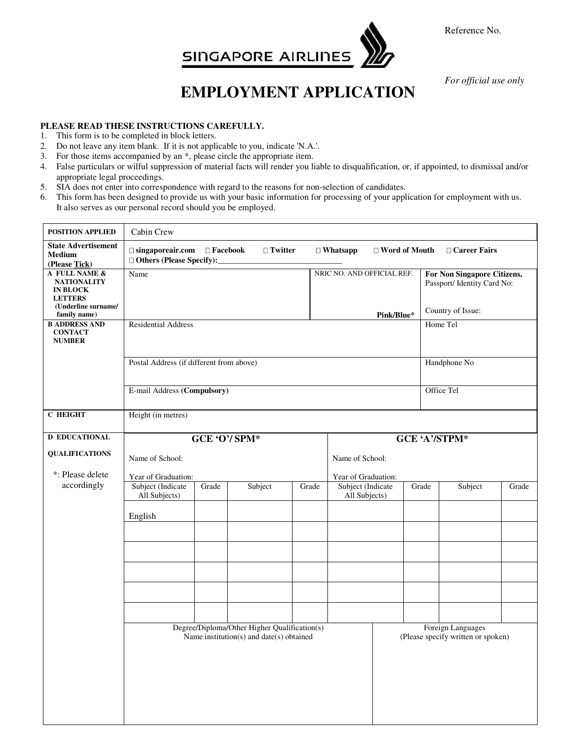

Reference No.

*For official use only* 

## **EMPLOYMENT APPLICATION**

## **PLEASE READ THESE INSTRUCTIONS CAREFULLY.**

- 1. This form is to be completed in block letters.
- 2. Do not leave any item blank. If it is not applicable to you, indicate 'N.A.'.
- 3. For those items accompanied by an \*, please circle the appropriate item.
- 4. False particulars or wilful suppression of material facts will render you liable to disqualification, or, if appointed, to dismissal and/or appropriate legal proceedings.
- 5. SIA does not enter into correspondence with regard to the reasons for non-selection of candidates.
- 6. This form has been designed to provide us with your basic information for processing of your application for employment with us. It also serves as our personal record should you be employed.

| $\Box$ singaporeair.com $\Box$ Facebook                                                                                                             |                     | □ Twitter                  |                                          | $\Box$ Whatsapp                    | □ Word of Mouth |                                                                 | □ Career Fairs |                                                                                 |  |
|-----------------------------------------------------------------------------------------------------------------------------------------------------|---------------------|----------------------------|------------------------------------------|------------------------------------|-----------------|-----------------------------------------------------------------|----------------|---------------------------------------------------------------------------------|--|
| Name                                                                                                                                                |                     |                            |                                          |                                    |                 |                                                                 |                |                                                                                 |  |
| <b>Residential Address</b>                                                                                                                          |                     |                            |                                          |                                    |                 |                                                                 | Home Tel       |                                                                                 |  |
|                                                                                                                                                     | Handphone No        |                            |                                          |                                    |                 |                                                                 |                |                                                                                 |  |
| E-mail Address (Compulsory)                                                                                                                         |                     |                            |                                          | Office Tel                         |                 |                                                                 |                |                                                                                 |  |
| Height (in metres)                                                                                                                                  |                     |                            |                                          |                                    |                 |                                                                 |                |                                                                                 |  |
| GCE 'O'/ SPM*<br><b>GCE 'A'/STPM*</b>                                                                                                               |                     |                            |                                          |                                    |                 |                                                                 |                |                                                                                 |  |
| Name of School:<br>Name of School:                                                                                                                  |                     |                            |                                          |                                    |                 |                                                                 |                |                                                                                 |  |
|                                                                                                                                                     |                     |                            |                                          |                                    |                 |                                                                 |                |                                                                                 |  |
| Subject (Indicate<br>All Subjects)                                                                                                                  | Grade               | Subject                    | Grade                                    | Subject (Indicate<br>All Subjects) |                 |                                                                 | Subject        | Grade                                                                           |  |
| English                                                                                                                                             |                     |                            |                                          |                                    |                 |                                                                 |                |                                                                                 |  |
|                                                                                                                                                     |                     |                            |                                          |                                    |                 |                                                                 |                |                                                                                 |  |
|                                                                                                                                                     |                     |                            |                                          |                                    |                 |                                                                 |                |                                                                                 |  |
|                                                                                                                                                     |                     |                            |                                          |                                    |                 |                                                                 |                |                                                                                 |  |
| Degree/Diploma/Other Higher Qualification(s)<br>Foreign Languages<br>Name institution(s) and date(s) obtained<br>(Please specify written or spoken) |                     |                            |                                          |                                    |                 |                                                                 |                |                                                                                 |  |
|                                                                                                                                                     | Year of Graduation: | □ Others (Please Specify): | Postal Address (if different from above) |                                    |                 | NRIC NO. AND OFFICIAL REF.<br>Pink/Blue*<br>Year of Graduation: | Grade          | For Non Singapore Citizens,<br>Passport/ Identity Card No:<br>Country of Issue: |  |